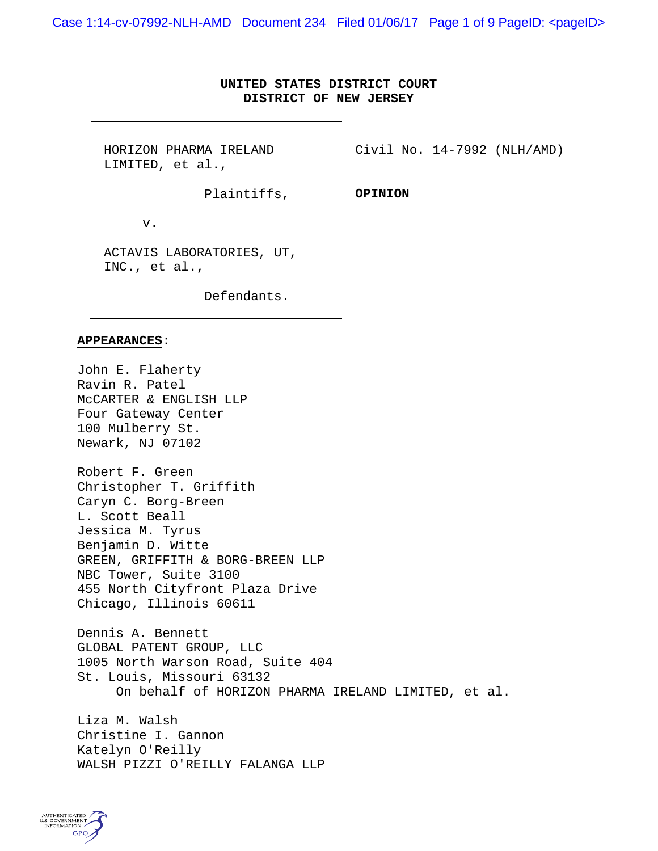Case 1:14-cv-07992-NLH-AMD Document 234 Filed 01/06/17 Page 1 of 9 PageID: <pageID>

## **UNITED STATES DISTRICT COURT DISTRICT OF NEW JERSEY**

HORIZON PHARMA IRELAND LIMITED, et al.,

Civil No. 14-7992 (NLH/AMD)

Plaintiffs,

**OPINION**

v.

ACTAVIS LABORATORIES, UT, INC., et al.,

Defendants.

## **APPEARANCES**:

John E. Flaherty Ravin R. Patel McCARTER & ENGLISH LLP Four Gateway Center 100 Mulberry St. Newark, NJ 07102

Robert F. Green Christopher T. Griffith Caryn C. Borg-Breen L. Scott Beall Jessica M. Tyrus Benjamin D. Witte GREEN, GRIFFITH & BORG-BREEN LLP NBC Tower, Suite 3100 455 North Cityfront Plaza Drive Chicago, Illinois 60611

Dennis A. Bennett GLOBAL PATENT GROUP, LLC 1005 North Warson Road, Suite 404 St. Louis, Missouri 63132 On behalf of HORIZON PHARMA IRELAND LIMITED, et al.

Liza M. Walsh Christine I. Gannon Katelyn O'Reilly WALSH PIZZI O'REILLY FALANGA LLP

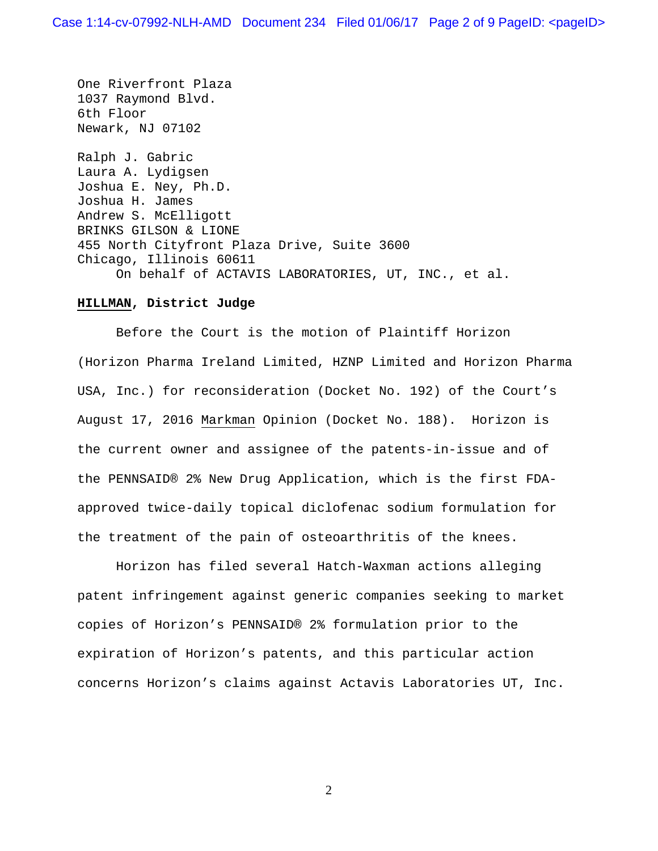One Riverfront Plaza 1037 Raymond Blvd. 6th Floor Newark, NJ 07102

Ralph J. Gabric Laura A. Lydigsen Joshua E. Ney, Ph.D. Joshua H. James Andrew S. McElligott BRINKS GILSON & LIONE 455 North Cityfront Plaza Drive, Suite 3600 Chicago, Illinois 60611 On behalf of ACTAVIS LABORATORIES, UT, INC., et al.

## **HILLMAN, District Judge**

Before the Court is the motion of Plaintiff Horizon (Horizon Pharma Ireland Limited, HZNP Limited and Horizon Pharma USA, Inc.) for reconsideration (Docket No. 192) of the Court's August 17, 2016 Markman Opinion (Docket No. 188). Horizon is the current owner and assignee of the patents-in-issue and of the PENNSAID® 2% New Drug Application, which is the first FDAapproved twice-daily topical diclofenac sodium formulation for the treatment of the pain of osteoarthritis of the knees.

Horizon has filed several Hatch-Waxman actions alleging patent infringement against generic companies seeking to market copies of Horizon's PENNSAID® 2% formulation prior to the expiration of Horizon's patents, and this particular action concerns Horizon's claims against Actavis Laboratories UT, Inc.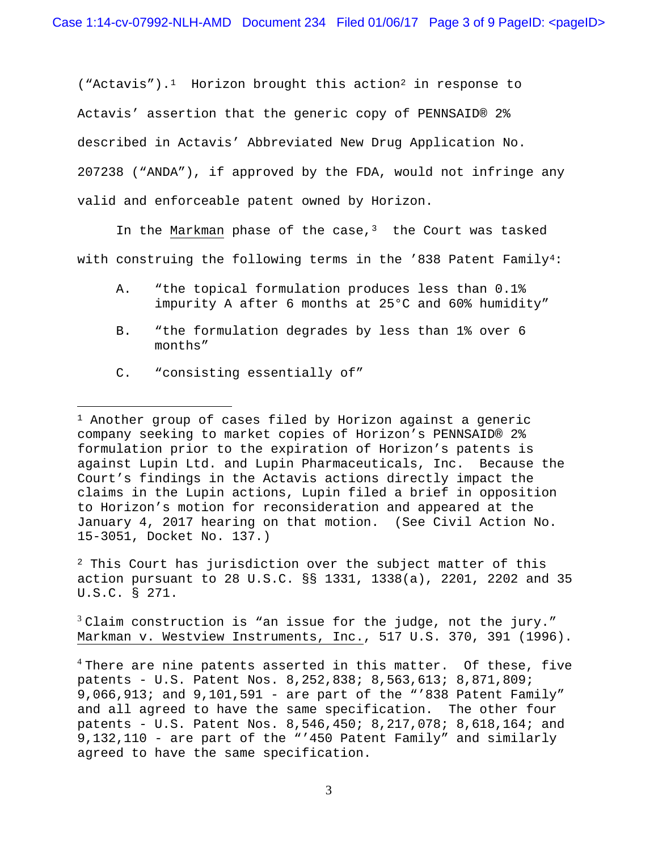("Actavis").<sup>1</sup> Horizon brought this action<sup>[2](#page-2-1)</sup> in response to Actavis' assertion that the generic copy of PENNSAID® 2% described in Actavis' Abbreviated New Drug Application No. 207238 ("ANDA"), if approved by the FDA, would not infringe any valid and enforceable patent owned by Horizon.

In the Markman phase of the case, $3$  the Court was tasked with construing the following terms in the '838 Patent Family<sup>[4:](#page-2-3)</sup>

- A. "the topical formulation produces less than 0.1% impurity A after 6 months at 25°C and 60% humidity"
- B. "the formulation degrades by less than 1% over 6 months"
- C. "consisting essentially of"

 $\overline{a}$ 

<span id="page-2-0"></span><sup>1</sup> Another group of cases filed by Horizon against a generic company seeking to market copies of Horizon's PENNSAID® 2% formulation prior to the expiration of Horizon's patents is against Lupin Ltd. and Lupin Pharmaceuticals, Inc. Because the Court's findings in the Actavis actions directly impact the claims in the Lupin actions, Lupin filed a brief in opposition to Horizon's motion for reconsideration and appeared at the January 4, 2017 hearing on that motion. (See Civil Action No. 15-3051, Docket No. 137.)

<span id="page-2-1"></span><sup>2</sup> This Court has jurisdiction over the subject matter of this action pursuant to 28 U.S.C. §§ 1331, 1338(a), 2201, 2202 and 35 U.S.C. § 271.

<span id="page-2-2"></span> $3$  Claim construction is "an issue for the judge, not the jury." Markman v. Westview Instruments, Inc., 517 U.S. 370, 391 (1996).

<span id="page-2-3"></span> $4$  There are nine patents asserted in this matter. Of these, five patents - U.S. Patent Nos. 8,252,838; 8,563,613; 8,871,809; 9,066,913; and 9,101,591 - are part of the "'838 Patent Family" and all agreed to have the same specification. The other four patents - U.S. Patent Nos. 8,546,450; 8,217,078; 8,618,164; and 9,132,110 - are part of the "'450 Patent Family" and similarly agreed to have the same specification.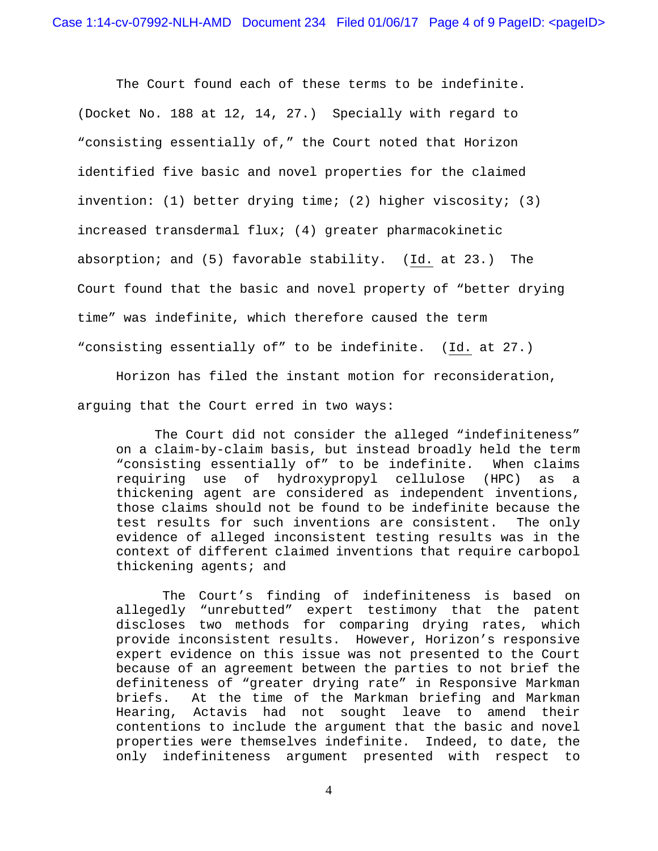The Court found each of these terms to be indefinite. (Docket No. 188 at 12, 14, 27.) Specially with regard to "consisting essentially of," the Court noted that Horizon identified five basic and novel properties for the claimed invention: (1) better drying time; (2) higher viscosity; (3) increased transdermal flux; (4) greater pharmacokinetic absorption; and (5) favorable stability. (Id. at 23.) The Court found that the basic and novel property of "better drying time" was indefinite, which therefore caused the term "consisting essentially of" to be indefinite. (Id. at 27.)

Horizon has filed the instant motion for reconsideration, arguing that the Court erred in two ways:

The Court did not consider the alleged "indefiniteness" on a claim-by-claim basis, but instead broadly held the term "consisting essentially of" to be indefinite. When claims requiring use of hydroxypropyl cellulose (HPC) as a thickening agent are considered as independent inventions, those claims should not be found to be indefinite because the test results for such inventions are consistent. The only evidence of alleged inconsistent testing results was in the context of different claimed inventions that require carbopol thickening agents; and

The Court's finding of indefiniteness is based on allegedly "unrebutted" expert testimony that the patent discloses two methods for comparing drying rates, which provide inconsistent results. However, Horizon's responsive expert evidence on this issue was not presented to the Court because of an agreement between the parties to not brief the definiteness of "greater drying rate" in Responsive Markman<br>briefs. At the time of the Markman briefing and Markman At the time of the Markman briefing and Markman Hearing, Actavis had not sought leave to amend their contentions to include the argument that the basic and novel properties were themselves indefinite. Indeed, to date, the only indefiniteness argument presented with respect to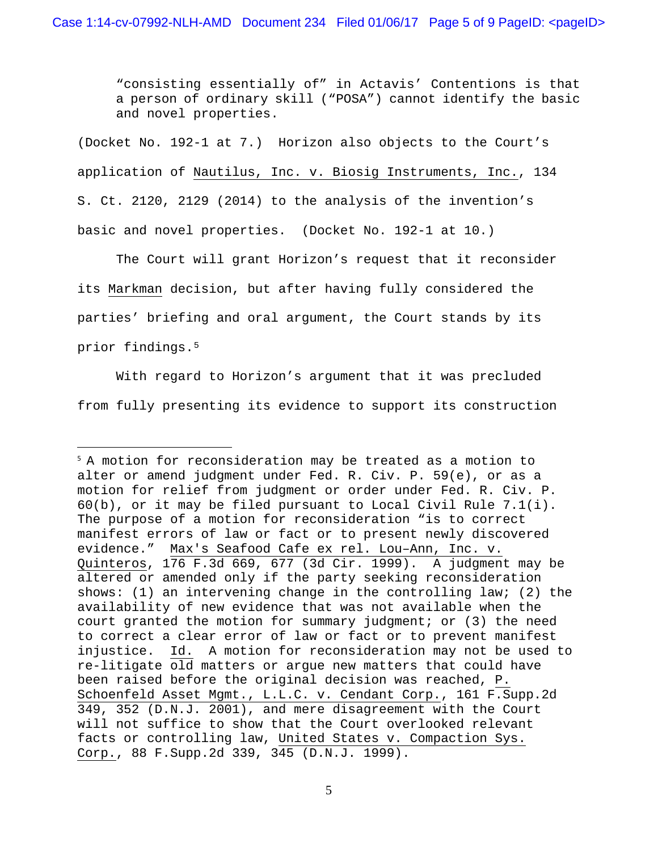"consisting essentially of" in Actavis' Contentions is that a person of ordinary skill ("POSA") cannot identify the basic and novel properties.

(Docket No. 192-1 at 7.) Horizon also objects to the Court's application of Nautilus, Inc. v. Biosig Instruments, Inc., 134 S. Ct. 2120, 2129 (2014) to the analysis of the invention's basic and novel properties. (Docket No. 192-1 at 10.)

The Court will grant Horizon's request that it reconsider its Markman decision, but after having fully considered the parties' briefing and oral argument, the Court stands by its prior findings.[5](#page-4-0)

With regard to Horizon's argument that it was precluded from fully presenting its evidence to support its construction

 $\overline{a}$ 

<span id="page-4-0"></span><sup>5</sup> A motion for reconsideration may be treated as a motion to alter or amend judgment under Fed. R. Civ. P. 59(e), or as a motion for relief from judgment or order under Fed. R. Civ. P. 60(b), or it may be filed pursuant to Local Civil Rule 7.1(i). The purpose of a motion for reconsideration "is to correct manifest errors of law or fact or to present newly discovered evidence." Max's Seafood Cafe ex rel. Lou–Ann, Inc. v. Quinteros, 176 F.3d 669, 677 (3d Cir. 1999). A judgment may be altered or amended only if the party seeking reconsideration shows: (1) an intervening change in the controlling law; (2) the availability of new evidence that was not available when the court granted the motion for summary judgment; or (3) the need to correct a clear error of law or fact or to prevent manifest injustice. Id. A motion for reconsideration may not be used to re-litigate old matters or argue new matters that could have been raised before the original decision was reached, P. Schoenfeld Asset Mgmt., L.L.C. v. Cendant Corp., 161 F.Supp.2d 349, 352 (D.N.J. 2001), and mere disagreement with the Court will not suffice to show that the Court overlooked relevant facts or controlling law, United States v. Compaction Sys. Corp., 88 F.Supp.2d 339, 345 (D.N.J. 1999).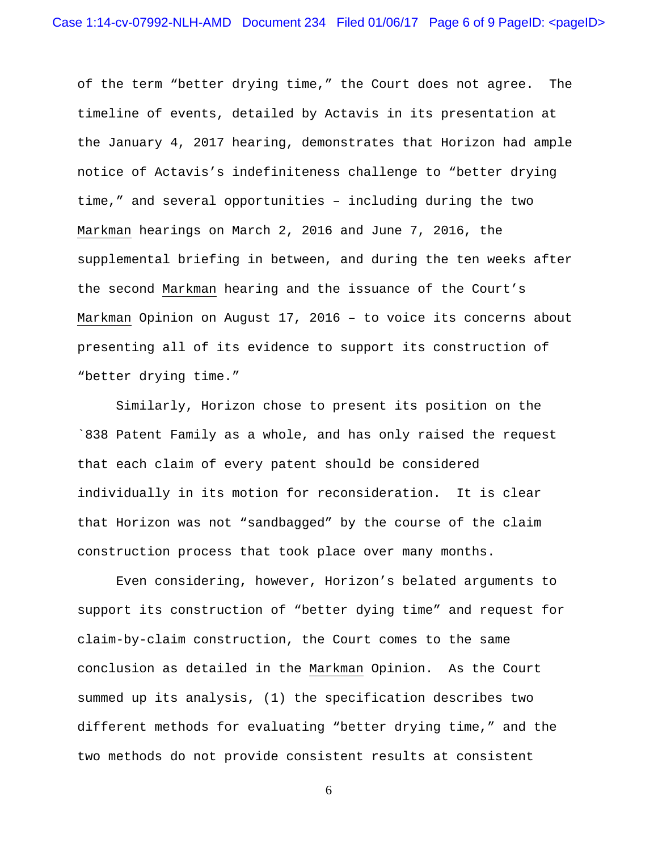of the term "better drying time," the Court does not agree. The timeline of events, detailed by Actavis in its presentation at the January 4, 2017 hearing, demonstrates that Horizon had ample notice of Actavis's indefiniteness challenge to "better drying time," and several opportunities – including during the two Markman hearings on March 2, 2016 and June 7, 2016, the supplemental briefing in between, and during the ten weeks after the second Markman hearing and the issuance of the Court's Markman Opinion on August 17, 2016 – to voice its concerns about presenting all of its evidence to support its construction of "better drying time."

Similarly, Horizon chose to present its position on the `838 Patent Family as a whole, and has only raised the request that each claim of every patent should be considered individually in its motion for reconsideration. It is clear that Horizon was not "sandbagged" by the course of the claim construction process that took place over many months.

Even considering, however, Horizon's belated arguments to support its construction of "better dying time" and request for claim-by-claim construction, the Court comes to the same conclusion as detailed in the Markman Opinion. As the Court summed up its analysis, (1) the specification describes two different methods for evaluating "better drying time," and the two methods do not provide consistent results at consistent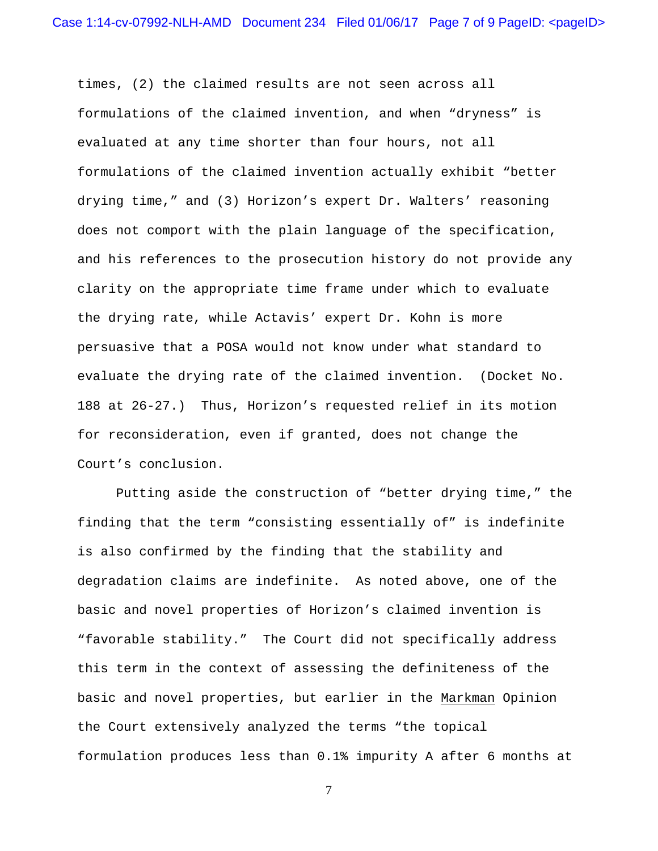times, (2) the claimed results are not seen across all formulations of the claimed invention, and when "dryness" is evaluated at any time shorter than four hours, not all formulations of the claimed invention actually exhibit "better drying time," and (3) Horizon's expert Dr. Walters' reasoning does not comport with the plain language of the specification, and his references to the prosecution history do not provide any clarity on the appropriate time frame under which to evaluate the drying rate, while Actavis' expert Dr. Kohn is more persuasive that a POSA would not know under what standard to evaluate the drying rate of the claimed invention. (Docket No. 188 at 26-27.) Thus, Horizon's requested relief in its motion for reconsideration, even if granted, does not change the Court's conclusion.

Putting aside the construction of "better drying time," the finding that the term "consisting essentially of" is indefinite is also confirmed by the finding that the stability and degradation claims are indefinite. As noted above, one of the basic and novel properties of Horizon's claimed invention is "favorable stability." The Court did not specifically address this term in the context of assessing the definiteness of the basic and novel properties, but earlier in the Markman Opinion the Court extensively analyzed the terms "the topical formulation produces less than 0.1% impurity A after 6 months at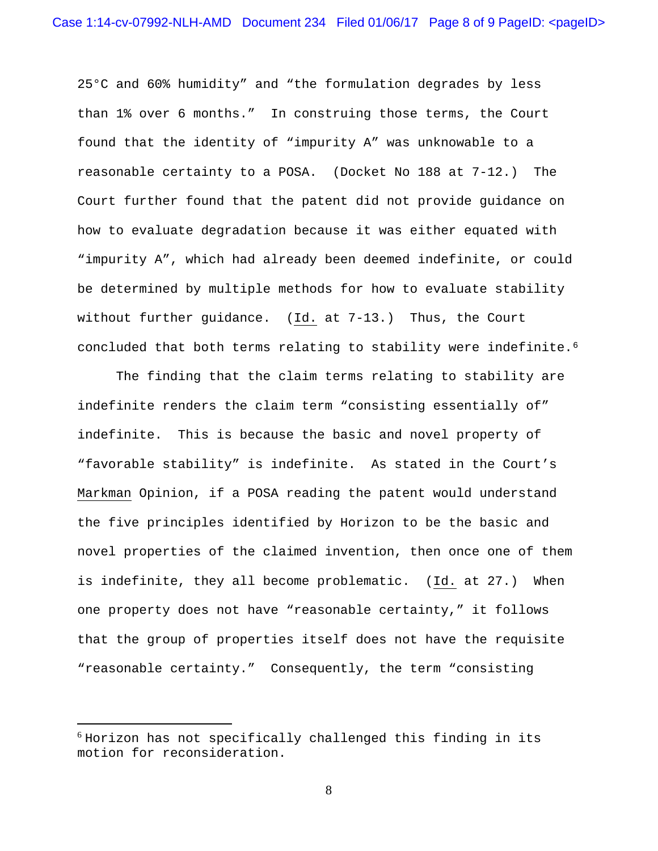25°C and 60% humidity" and "the formulation degrades by less than 1% over 6 months." In construing those terms, the Court found that the identity of "impurity A" was unknowable to a reasonable certainty to a POSA. (Docket No 188 at 7-12.) The Court further found that the patent did not provide guidance on how to evaluate degradation because it was either equated with "impurity A", which had already been deemed indefinite, or could be determined by multiple methods for how to evaluate stability without further guidance. (Id. at 7-13.) Thus, the Court concluded that both terms relating to stability were indefinite.<sup>[6](#page-7-0)</sup>

The finding that the claim terms relating to stability are indefinite renders the claim term "consisting essentially of" indefinite. This is because the basic and novel property of "favorable stability" is indefinite. As stated in the Court's Markman Opinion, if a POSA reading the patent would understand the five principles identified by Horizon to be the basic and novel properties of the claimed invention, then once one of them is indefinite, they all become problematic. (Id. at 27.) When one property does not have "reasonable certainty," it follows that the group of properties itself does not have the requisite "reasonable certainty." Consequently, the term "consisting

<span id="page-7-0"></span> $6$  Horizon has not specifically challenged this finding in its motion for reconsideration.